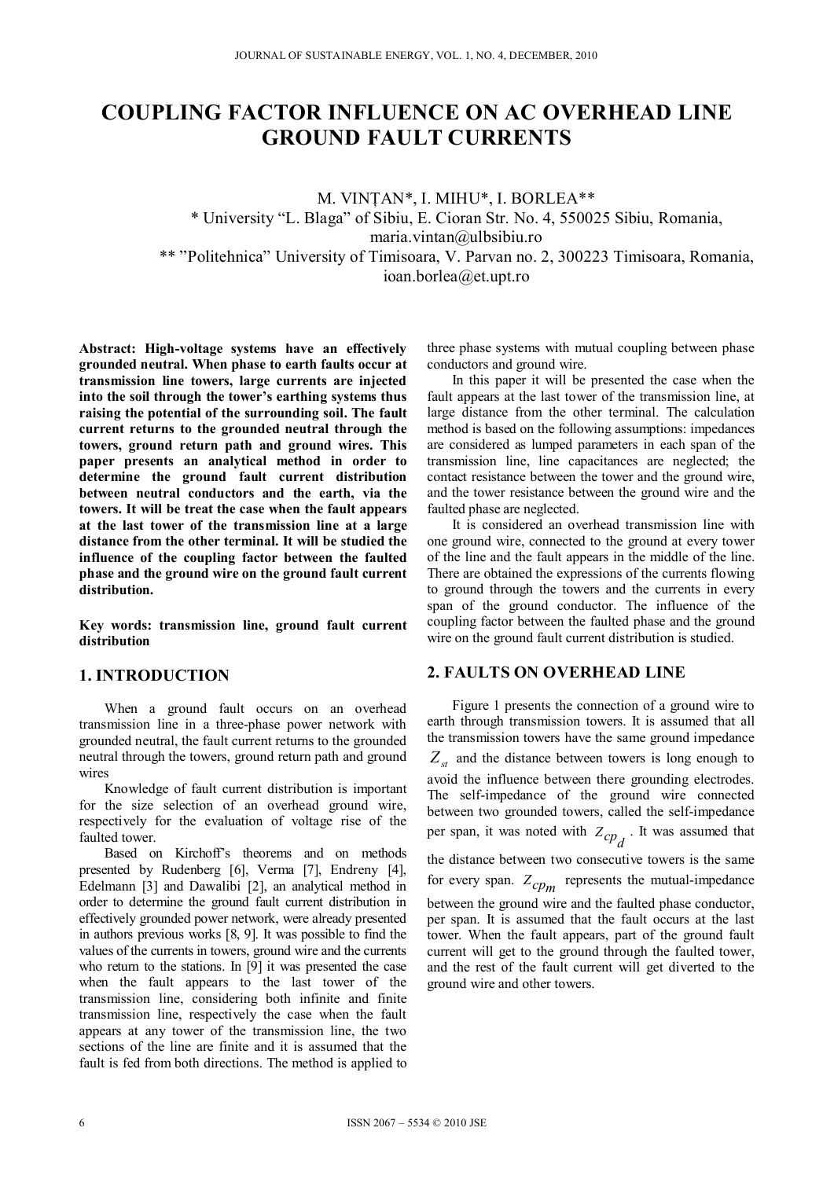# **COUPLING FACTOR INFLUENCE ON AC OVERHEAD LINE GROUND FAULT CURRENTS**

M. VINŢAN\*, I. MIHU\*, I. BORLEA\*\* \* University "L. Blaga" of Sibiu, E. Cioran Str. No. 4, 550025 Sibiu, Romania, maria.vintan@ulbsibiu.ro \*\* "Politehnica" University of Timisoara, V. Parvan no. 2, 300223 Timisoara, Romania, ioan.borlea@et.upt.ro

**Abstract: High-voltage systems have an effectively grounded neutral. When phase to earth faults occur at transmission line towers, large currents are injected into the soil through the tower's earthing systems thus raising the potential of the surrounding soil. The fault current returns to the grounded neutral through the towers, ground return path and ground wires. This paper presents an analytical method in order to determine the ground fault current distribution between neutral conductors and the earth, via the towers. It will be treat the case when the fault appears at the last tower of the transmission line at a large distance from the other terminal. It will be studied the influence of the coupling factor between the faulted phase and the ground wire on the ground fault current distribution.** 

**Key words: transmission line, ground fault current distribution** 

## **1. INTRODUCTION**

When a ground fault occurs on an overhead transmission line in a three-phase power network with grounded neutral, the fault current returns to the grounded neutral through the towers, ground return path and ground wires

Knowledge of fault current distribution is important for the size selection of an overhead ground wire, respectively for the evaluation of voltage rise of the faulted tower.

Based on Kirchoff's theorems and on methods presented by Rudenberg [6], Verma [7], Endreny [4], Edelmann [3] and Dawalibi [2], an analytical method in order to determine the ground fault current distribution in effectively grounded power network, were already presented in authors previous works [8, 9]. It was possible to find the values of the currents in towers, ground wire and the currents who return to the stations. In [9] it was presented the case when the fault appears to the last tower of the transmission line, considering both infinite and finite transmission line, respectively the case when the fault appears at any tower of the transmission line, the two sections of the line are finite and it is assumed that the fault is fed from both directions. The method is applied to

three phase systems with mutual coupling between phase conductors and ground wire.

In this paper it will be presented the case when the fault appears at the last tower of the transmission line, at large distance from the other terminal. The calculation method is based on the following assumptions: impedances are considered as lumped parameters in each span of the transmission line, line capacitances are neglected; the contact resistance between the tower and the ground wire, and the tower resistance between the ground wire and the faulted phase are neglected.

It is considered an overhead transmission line with one ground wire, connected to the ground at every tower of the line and the fault appears in the middle of the line. There are obtained the expressions of the currents flowing to ground through the towers and the currents in every span of the ground conductor. The influence of the coupling factor between the faulted phase and the ground wire on the ground fault current distribution is studied.

## **2. FAULTS ON OVERHEAD LINE**

Figure 1 presents the connection of a ground wire to earth through transmission towers. It is assumed that all the transmission towers have the same ground impedance  $Z_{st}$  and the distance between towers is long enough to avoid the influence between there grounding electrodes. The self-impedance of the ground wire connected between two grounded towers, called the self-impedance per span, it was noted with  $Z_{cp}$ . It was assumed that the distance between two consecutive towers is the same for every span.  $Z_{cpm}$  represents the mutual-impedance between the ground wire and the faulted phase conductor, per span. It is assumed that the fault occurs at the last tower. When the fault appears, part of the ground fault current will get to the ground through the faulted tower, and the rest of the fault current will get diverted to the ground wire and other towers.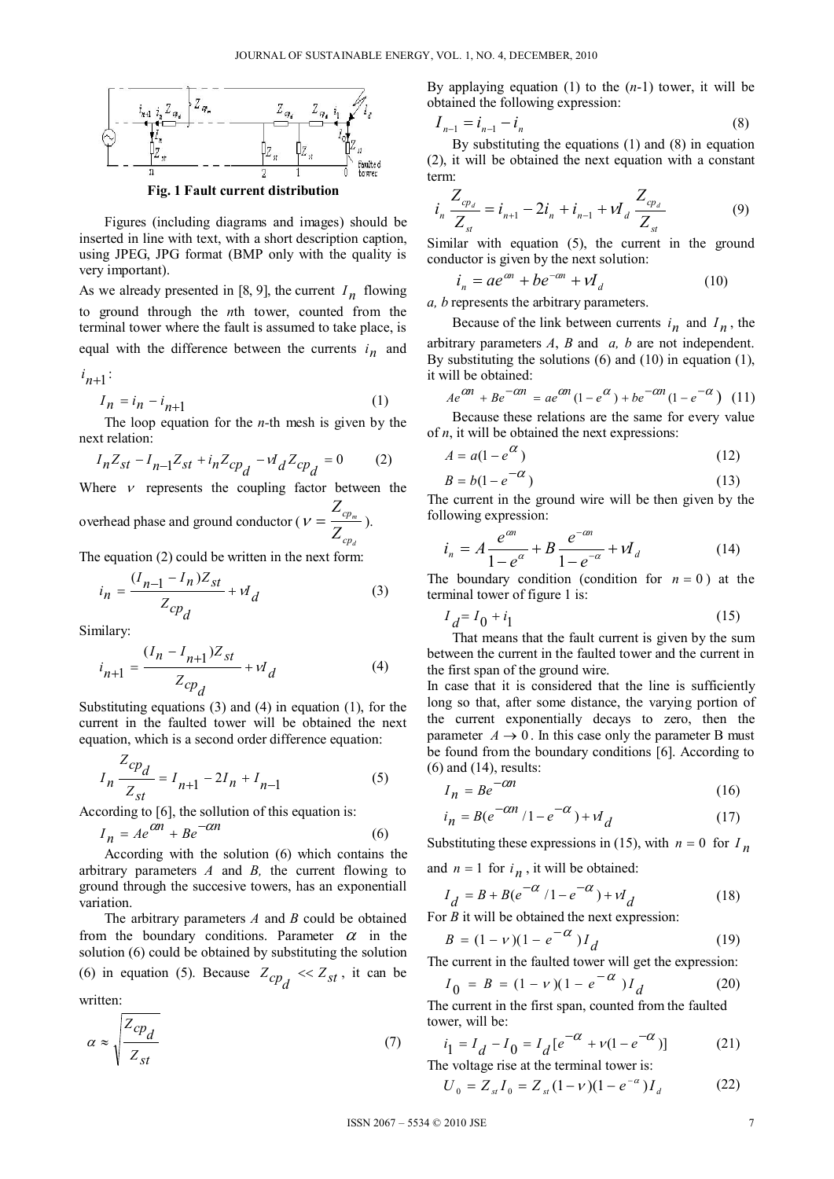

Figures (including diagrams and images) should be inserted in line with text, with a short description caption, using JPEG, JPG format (BMP only with the quality is very important).

As we already presented in [8, 9], the current  $I_n$  flowing to ground through the *n*th tower, counted from the terminal tower where the fault is assumed to take place, is equal with the difference between the currents  $i_n$  and

 $i_{n+1}$ :

$$
I_n = i_n - i_{n+1} \tag{1}
$$

The loop equation for the *n-*th mesh is given by the next relation:

$$
I_n Z_{st} - I_{n-1} Z_{st} + i_n Z_{cp} - V_d Z_{cp} = 0 \tag{2}
$$

Where  $\nu$  represents the coupling factor between the overhead phase and ground conductor ( $v = \frac{Z_{cp_m}}{Z_{p_m}}$ *Z*  $V=\frac{c p_m}{Z}$ ).

$$
Z_{cp_d}
$$

The equation (2) could be written in the next form:

$$
i_n = \frac{(I_{n-1} - I_n)Z_{st}}{Z_{cp_d}} + \nu I_d
$$
 (3)

Similary:

$$
i_{n+1} = \frac{(I_n - I_{n+1})Z_{st}}{Z_{cp_d}} + vI_d
$$
 (4)

Substituting equations (3) and (4) in equation (1), for the current in the faulted tower will be obtained the next equation, which is a second order difference equation:

$$
I_n \frac{Z_{cp}}{Z_{st}} = I_{n+1} - 2I_n + I_{n-1}
$$
 (5)

According to [6], the sollution of this equation is:

$$
I_n = Ae^{\alpha n} + Be^{-\alpha n}
$$
 (6)

According with the solution (6) which contains the arbitrary parameters *A* and *B,* the current flowing to ground through the succesive towers, has an exponentiall variation.

The arbitrary parameters *A* and *B* could be obtained from the boundary conditions. Parameter  $\alpha$  in the solution (6) could be obtained by substituting the solution (6) in equation (5). Because  $Z_{cpd} \ll Z_{st}$ , it can be written:

$$
\alpha \approx \sqrt{\frac{Z_{cp_d}}{Z_{st}}} \tag{7}
$$

By applaying equation (1) to the (*n*-1) tower, it will be obtained the following expression:

$$
I_{n-1} = i_{n-1} - i_n \tag{8}
$$

By substituting the equations (1) and (8) in equation (2), it will be obtained the next equation with a constant term:

$$
i_n \frac{Z_{cp_d}}{Z_{st}} = i_{n+1} - 2i_n + i_{n-1} + \nu I_d \frac{Z_{cp_d}}{Z_{st}}
$$
(9)

Similar with equation (5), the current in the ground conductor is given by the next solution:

$$
i_n = ae^{\alpha n} + be^{-\alpha n} + vI_d \tag{10}
$$

*a, b* represents the arbitrary parameters.

Because of the link between currents  $i_n$  and  $I_n$ , the arbitrary parameters *A*, *B* and *a, b* are not independent. By substituting the solutions (6) and (10) in equation (1), it will be obtained:

$$
Ae^{C\theta t} + Be^{-C\theta t} = ae^{C\theta t} (1 - e^C) + be^{-C\theta t} (1 - e^{-Ct})
$$
 (11)

Because these relations are the same for every value of *n*, it will be obtained the next expressions:

$$
A = a(1 - e^{\alpha})
$$
 (12)

$$
B = b(1 - e^{-\alpha})\tag{13}
$$

The current in the ground wire will be then given by the following expression:

$$
i_n = A \frac{e^{\alpha n}}{1 - e^{\alpha}} + B \frac{e^{-\alpha n}}{1 - e^{-\alpha}} + \nu I_d
$$
 (14)

The boundary condition (condition for  $n = 0$ ) at the terminal tower of figure 1 is:

$$
I_{d} = I_0 + i_1 \tag{15}
$$

That means that the fault current is given by the sum between the current in the faulted tower and the current in the first span of the ground wire.

In case that it is considered that the line is sufficiently long so that, after some distance, the varying portion of the current exponentially decays to zero, then the parameter  $A \rightarrow 0$ . In this case only the parameter B must be found from the boundary conditions [6]. According to (6) and (14), results:

$$
I_n = Be^{-\alpha n} \tag{16}
$$

$$
i_n = B(e^{-\alpha n}/1 - e^{-\alpha}) + \nu I_d \tag{17}
$$

Substituting these expressions in (15), with  $n = 0$  for  $I_n$ and  $n = 1$  for  $i_n$ , it will be obtained:

$$
I_d = B + B(e^{-\alpha}/1 - e^{-\alpha}) + vI_d
$$
 (18)

For *B* it will be obtained the next expression:

$$
B = (1 - v)(1 - e^{-\alpha})I_d
$$
 (19)

The current in the faulted tower will get the expression:

$$
I_0 = B = (1 - v)(1 - e^{-\alpha})I_d
$$
 (20)

The current in the first span, counted from the faulted tower, will be:

$$
i_1 = I_d - I_0 = I_d [e^{-\alpha} + v(1 - e^{-\alpha})]
$$
 (21)

The voltage rise at the terminal tower is:

$$
U_0 = Z_{st} I_0 = Z_{st} (1 - v)(1 - e^{-\alpha}) I_d \tag{22}
$$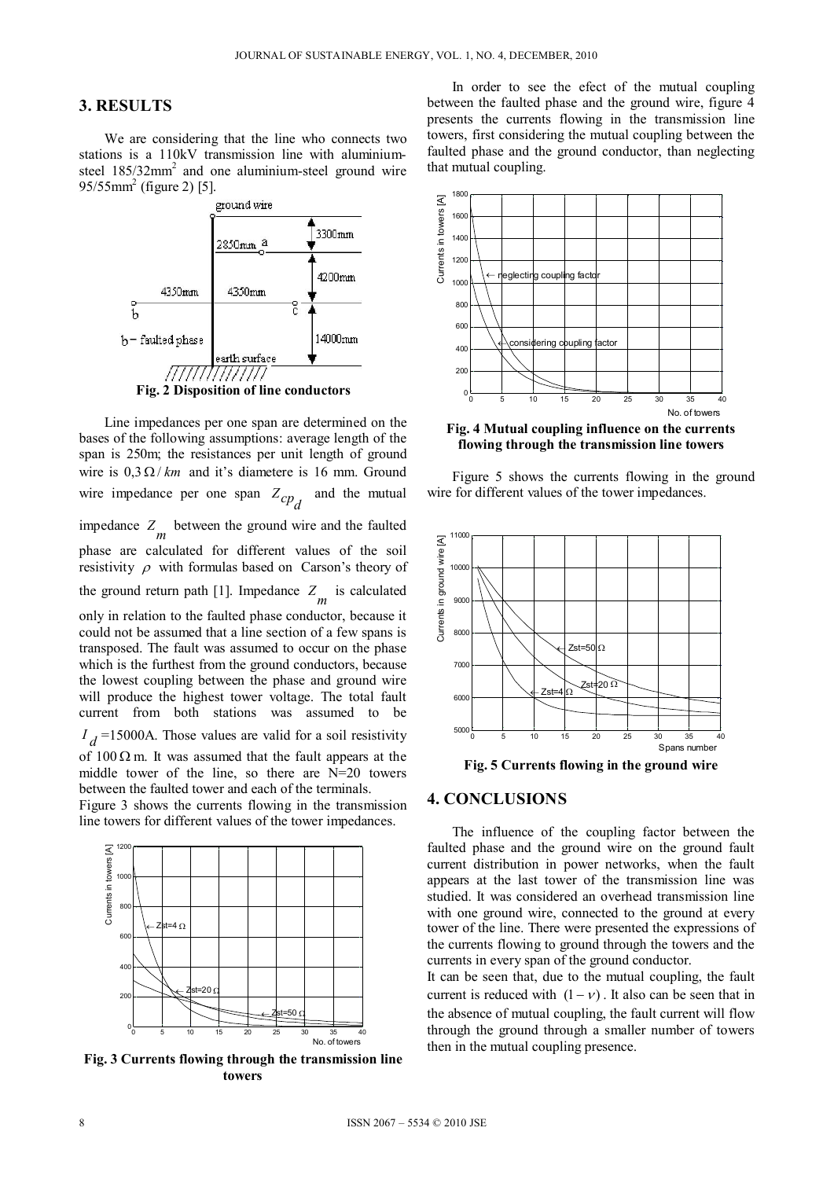## **3. RESULTS**

We are considering that the line who connects two stations is a 110kV transmission line with aluminiumsteel  $185/32$ mm<sup>2</sup> and one aluminium-steel ground wire  $95/55$ mm<sup>2</sup> (figure 2) [5].



Line impedances per one span are determined on the bases of the following assumptions: average length of the span is 250m; the resistances per unit length of ground wire is  $0.3 \Omega/km$  and it's diametere is 16 mm. Ground wire impedance per one span  $Z_{cp}$  and the mutual impedance  $Z_m$  between the ground wire and the faulted phase are calculated for different values of the soil resistivity  $\rho$  with formulas based on Carson's theory of the ground return path [1]. Impedance  $Z_m$  is calculated only in relation to the faulted phase conductor, because it could not be assumed that a line section of a few spans is transposed. The fault was assumed to occur on the phase which is the furthest from the ground conductors, because the lowest coupling between the phase and ground wire will produce the highest tower voltage. The total fault current from both stations was assumed to be  $I_d$ =15000A. Those values are valid for a soil resistivity of  $100 \Omega$  m. It was assumed that the fault appears at the middle tower of the line, so there are N=20 towers between the faulted tower and each of the terminals.

Figure 3 shows the currents flowing in the transmission line towers for different values of the tower impedances.



**Fig. 3 Currents flowing through the transmission line towers** 

In order to see the efect of the mutual coupling between the faulted phase and the ground wire, figure 4 presents the currents flowing in the transmission line towers, first considering the mutual coupling between the faulted phase and the ground conductor, than neglecting that mutual coupling.



**Fig. 4 Mutual coupling influence on the currents flowing through the transmission line towers** 

Figure 5 shows the currents flowing in the ground wire for different values of the tower impedances.



**Fig. 5 Currents flowing in the ground wire** 

#### **4. CONCLUSIONS**

The influence of the coupling factor between the faulted phase and the ground wire on the ground fault current distribution in power networks, when the fault appears at the last tower of the transmission line was studied. It was considered an overhead transmission line with one ground wire, connected to the ground at every tower of the line. There were presented the expressions of the currents flowing to ground through the towers and the currents in every span of the ground conductor.

It can be seen that, due to the mutual coupling, the fault current is reduced with  $(1 - v)$ . It also can be seen that in the absence of mutual coupling, the fault current will flow through the ground through a smaller number of towers then in the mutual coupling presence.